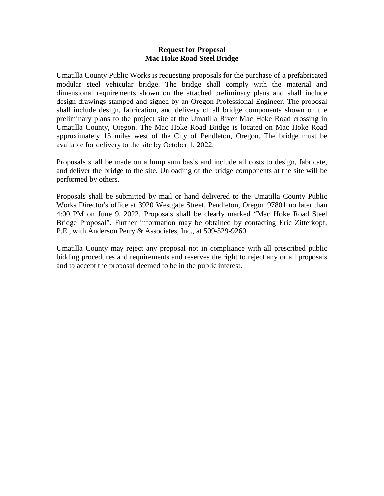## **Request for Proposal Mac Hoke Road Steel Bridge**

Umatilla County Public Works is requesting proposals for the purchase of a prefabricated modular steel vehicular bridge. The bridge shall comply with the material and dimensional requirements shown on the attached preliminary plans and shall include design drawings stamped and signed by an Oregon Professional Engineer. The proposal shall include design, fabrication, and delivery of all bridge components shown on the preliminary plans to the project site at the Umatilla River Mac Hoke Road crossing in Umatilla County, Oregon. The Mac Hoke Road Bridge is located on Mac Hoke Road approximately 15 miles west of the City of Pendleton, Oregon. The bridge must be available for delivery to the site by October 1, 2022.

Proposals shall be made on a lump sum basis and include all costs to design, fabricate, and deliver the bridge to the site. Unloading of the bridge components at the site will be performed by others.

Proposals shall be submitted by mail or hand delivered to the Umatilla County Public Works Director's office at 3920 Westgate Street, Pendleton, Oregon 97801 no later than 4:00 PM on June 9, 2022. Proposals shall be clearly marked "Mac Hoke Road Steel Bridge Proposal". Further information may be obtained by contacting Eric Zitterkopf, P.E., with Anderson Perry & Associates, Inc., at 509-529-9260.

Umatilla County may reject any proposal not in compliance with all prescribed public bidding procedures and requirements and reserves the right to reject any or all proposals and to accept the proposal deemed to be in the public interest.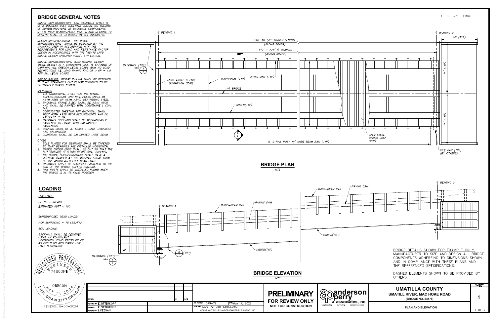



# STRED PROFESS<br>
I STRED PROFESS<br>
I STRED PROFESS<br>
PROFESS I 1, 200 PM  $\frac{1}{2}$ REGIS **MA**C  $R_{\rm 2}^{\rm k}$ IC RI  $N$ ZITTER DEA<br>RENEW  $rac{215}{6-3}$ SIGNED BY E.ZITTERKOPF

- 
- 
- 
- 
- 
- 

R:\Clients\Umatilla County\1379-72 Mac Hoke Bridge\060 Design\1379-72-060-S301A.dwg, 5/17/2022 3:03:54 PM, AutoCAD PDF (General Documentation).pc3

- 
- 
- 
- 
-